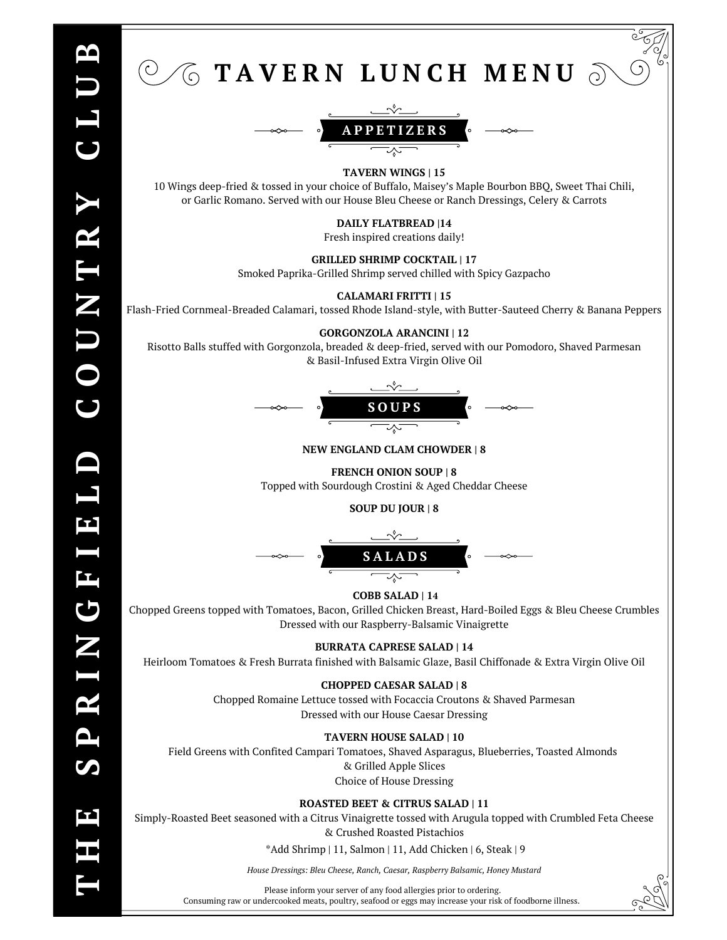

**SOUP DU JOUR | 8**



## **COBB SALAD | 14**

Chopped Greens topped with Tomatoes, Bacon, Grilled Chicken Breast, Hard-Boiled Eggs & Bleu Cheese Crumbles Dressed with our Raspberry-Balsamic Vinaigrette

## **BURRATA CAPRESE SALAD | 14**

Heirloom Tomatoes & Fresh Burrata finished with Balsamic Glaze, Basil Chiffonade & Extra Virgin Olive Oil

## **CHOPPED CAESAR SALAD | 8**

Chopped Romaine Lettuce tossed with Focaccia Croutons & Shaved Parmesan Dressed with our House Caesar Dressing

## **TAVERN HOUSE SALAD | 10**

Field Greens with Confited Campari Tomatoes, Shaved Asparagus, Blueberries, Toasted Almonds & Grilled Apple Slices Choice of House Dressing

**ROASTED BEET & CITRUS SALAD | 11**

Simply-Roasted Beet seasoned with a Citrus Vinaigrette tossed with Arugula topped with Crumbled Feta Cheese & Crushed Roasted Pistachios

\*Add Shrimp | 11, Salmon | 11, Add Chicken | 6, Steak | 9

*House Dressings: Bleu Cheese, Ranch, Caesar, Raspberry Balsamic, Honey Mustard*

Please inform your server of any food allergies prior to ordering. Consuming raw or undercooked meats, poultry, seafood or eggs may increase your risk of foodborne illness.